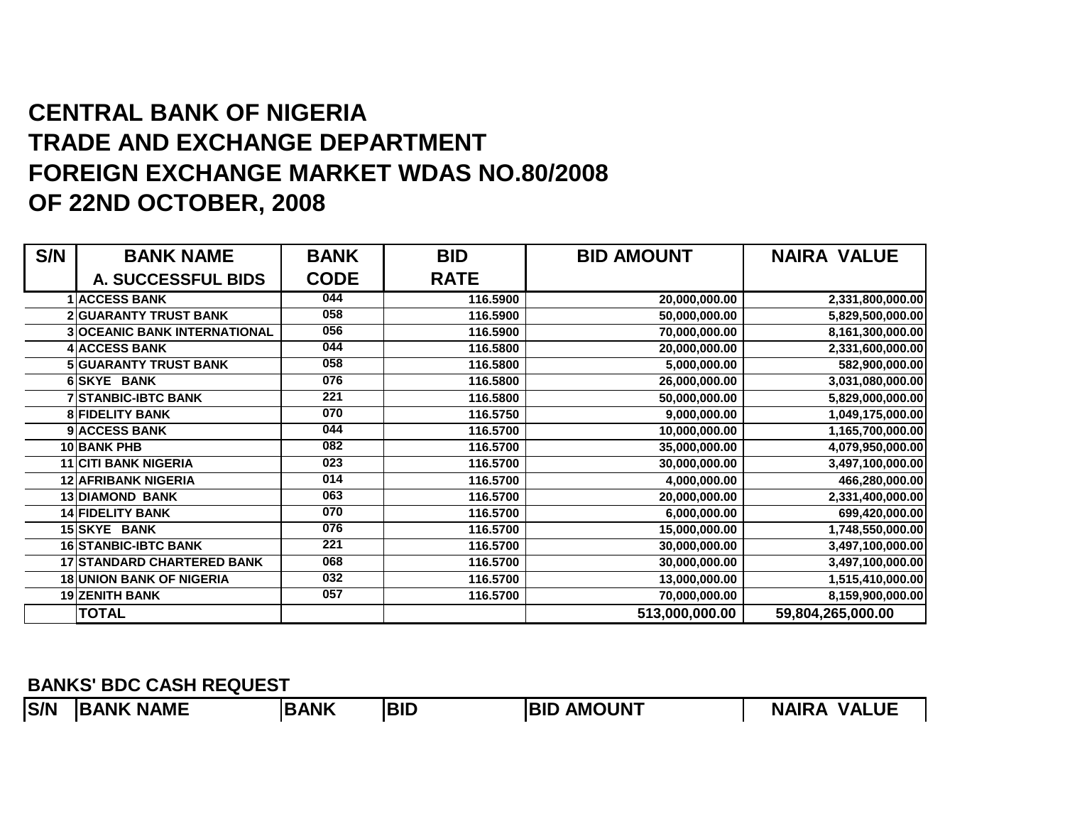## **CENTRAL BANK OF NIGERIA TRADE AND EXCHANGE DEPARTMENT FOREIGN EXCHANGE MARKET WDAS NO.80/2008OF 22ND OCTOBER, 2008**

| S/N | <b>BANK NAME</b>                    | <b>BANK</b> | <b>BID</b>  | <b>BID AMOUNT</b> | <b>NAIRA VALUE</b> |
|-----|-------------------------------------|-------------|-------------|-------------------|--------------------|
|     | <b>A. SUCCESSFUL BIDS</b>           | <b>CODE</b> | <b>RATE</b> |                   |                    |
|     | <b>1 ACCESS BANK</b>                | 044         | 116.5900    | 20,000,000.00     | 2,331,800,000.00   |
|     | <b>2 GUARANTY TRUST BANK</b>        | 058         | 116.5900    | 50,000,000.00     | 5,829,500,000.00   |
|     | <b>3 OCEANIC BANK INTERNATIONAL</b> | 056         | 116.5900    | 70,000,000.00     | 8,161,300,000.00   |
|     | <b>4 ACCESS BANK</b>                | 044         | 116.5800    | 20,000,000.00     | 2,331,600,000.00   |
|     | <b>5 GUARANTY TRUST BANK</b>        | 058         | 116.5800    | 5,000,000.00      | 582,900,000.00     |
|     | <b>6 SKYE BANK</b>                  | 076         | 116.5800    | 26,000,000.00     | 3,031,080,000.00   |
|     | <b>7 STANBIC-IBTC BANK</b>          | 221         | 116.5800    | 50,000,000.00     | 5,829,000,000.00   |
|     | <b>8 FIDELITY BANK</b>              | 070         | 116.5750    | 9,000,000.00      | 1,049,175,000.00   |
|     | 9 ACCESS BANK                       | 044         | 116.5700    | 10,000,000.00     | 1,165,700,000.00   |
|     | 10 BANK PHB                         | 082         | 116.5700    | 35,000,000.00     | 4,079,950,000.00   |
|     | <b>11 CITI BANK NIGERIA</b>         | 023         | 116.5700    | 30,000,000.00     | 3,497,100,000.00   |
|     | <b>12 AFRIBANK NIGERIA</b>          | 014         | 116.5700    | 4,000,000.00      | 466,280,000.00     |
|     | <b>13 DIAMOND BANK</b>              | 063         | 116.5700    | 20,000,000.00     | 2,331,400,000.00   |
|     | <b>14 FIDELITY BANK</b>             | 070         | 116.5700    | 6,000,000.00      | 699,420,000.00     |
|     | 15 SKYE BANK                        | 076         | 116.5700    | 15,000,000.00     | 1,748,550,000.00   |
|     | <b>16 STANBIC-IBTC BANK</b>         | 221         | 116.5700    | 30,000,000.00     | 3,497,100,000.00   |
|     | <b>17 STANDARD CHARTERED BANK</b>   | 068         | 116.5700    | 30,000,000.00     | 3,497,100,000.00   |
|     | <b>18 UNION BANK OF NIGERIA</b>     | 032         | 116.5700    | 13,000,000.00     | 1,515,410,000.00   |
|     | 19 ZENITH BANK                      | 057         | 116.5700    | 70,000,000.00     | 8,159,900,000.00   |
|     | <b>TOTAL</b>                        |             |             | 513,000,000.00    | 59,804,265,000.00  |

**BANKS' BDC CASH REQUEST**

**BANK**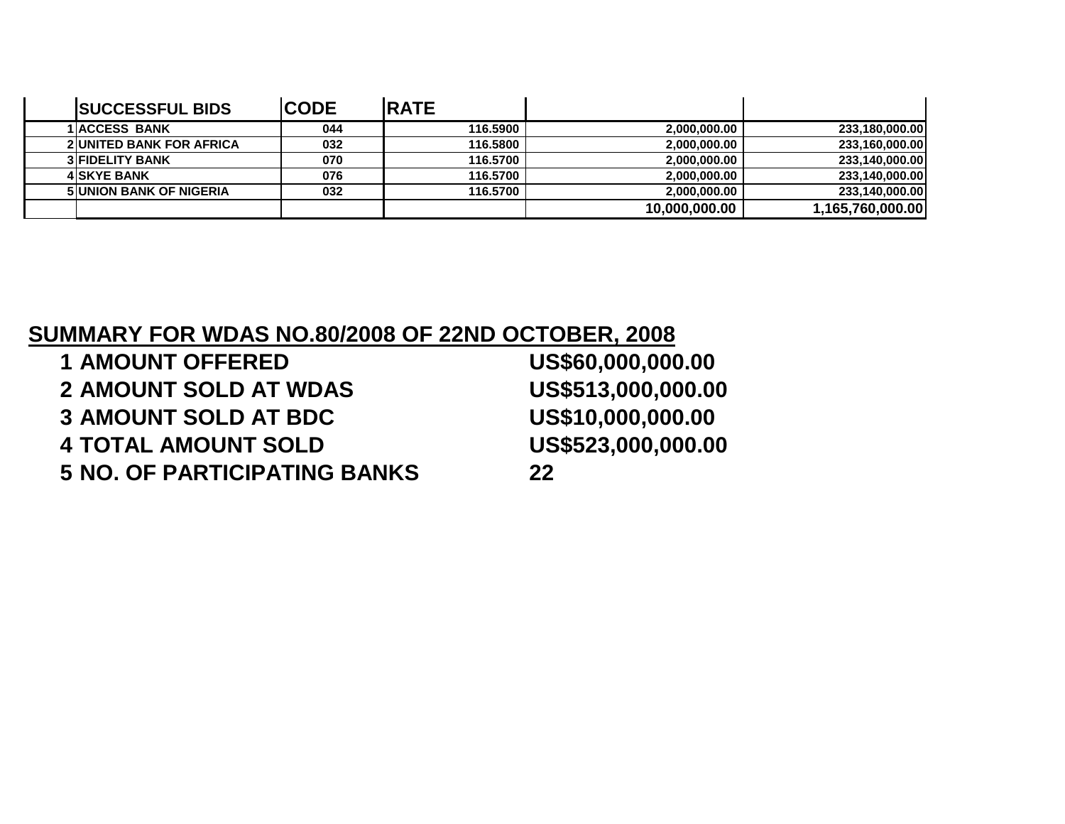| <b>SUCCESSFUL BIDS</b>          | <b>CODE</b> | <b>IRATE</b> |               |                  |
|---------------------------------|-------------|--------------|---------------|------------------|
| <b>1 ACCESS BANK</b>            | 044         | 116,5900     | 2,000,000.00  | 233,180,000.00   |
| <b>2 UNITED BANK FOR AFRICA</b> | 032         | 116,5800     | 2,000,000.00  | 233,160,000.00   |
| <b>3 FIDELITY BANK</b>          | 070         | 116,5700     | 2,000,000.00  | 233,140,000.00   |
| <b>4 SKYE BANK</b>              | 076         | 116,5700     | 2,000,000.00  | 233,140,000.00   |
| <b>5 UNION BANK OF NIGERIA</b>  | 032         | 116,5700     | 2.000.000.00  | 233,140,000.00   |
|                                 |             |              | 10,000,000.00 | 1,165,760,000.00 |

## **SUMMARY FOR WDAS NO.80/2008 OF 22ND OCTOBER, 2008**

| <b>1 AMOUNT OFFERED</b>             | US\$60,000,000.00  |
|-------------------------------------|--------------------|
| <b>2 AMOUNT SOLD AT WDAS</b>        | US\$513,000,000.00 |
| <b>3 AMOUNT SOLD AT BDC</b>         | US\$10,000,000.00  |
| <b>4 TOTAL AMOUNT SOLD</b>          | US\$523,000,000.00 |
| <b>5 NO. OF PARTICIPATING BANKS</b> | 22                 |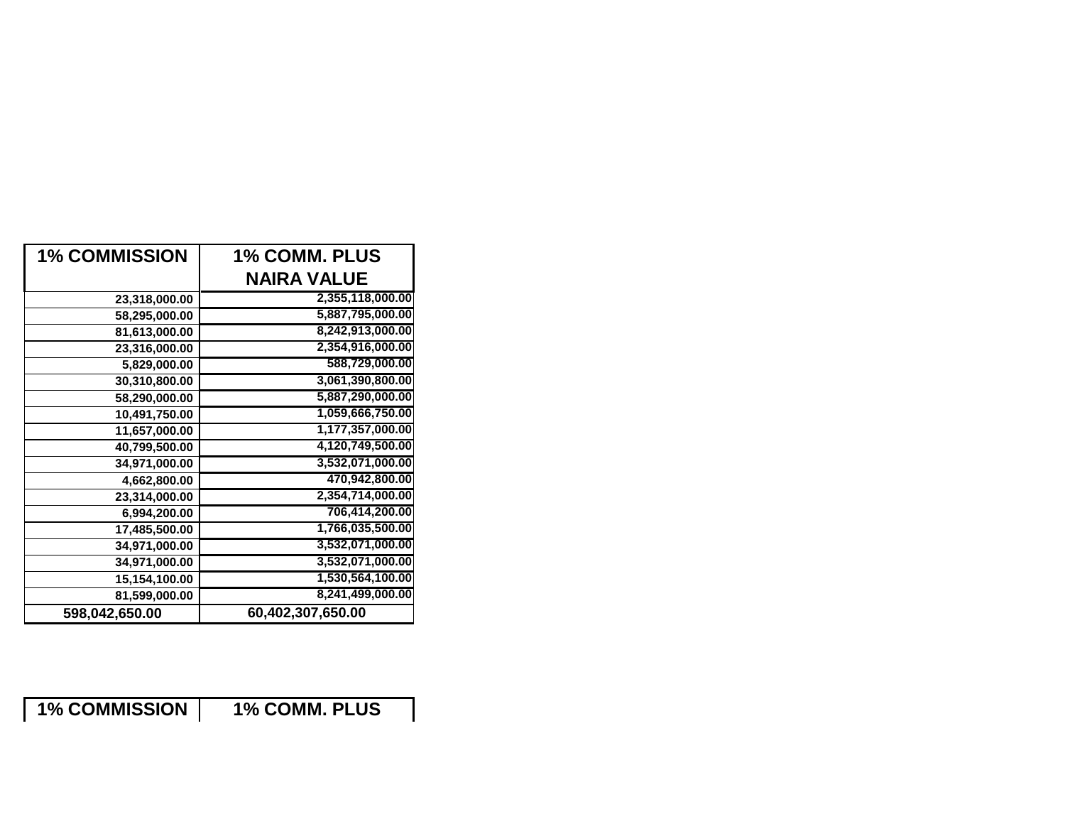| <b>1% COMMISSION</b> | <b>1% COMM. PLUS</b> |
|----------------------|----------------------|
|                      | <b>NAIRA VALUE</b>   |
| 23,318,000.00        | 2,355,118,000.00     |
| 58,295,000.00        | 5,887,795,000.00     |
| 81,613,000.00        | 8,242,913,000.00     |
| 23,316,000.00        | 2,354,916,000.00     |
| 5,829,000.00         | 588,729,000.00       |
| 30,310,800.00        | 3,061,390,800.00     |
| 58,290,000.00        | 5,887,290,000.00     |
| 10,491,750.00        | 1,059,666,750.00     |
| 11,657,000.00        | 1,177,357,000.00     |
| 40,799,500.00        | 4,120,749,500.00     |
| 34,971,000.00        | 3,532,071,000.00     |
| 4,662,800.00         | 470,942,800.00       |
| 23,314,000.00        | 2,354,714,000.00     |
| 6,994,200.00         | 706,414,200.00       |
| 17,485,500.00        | 1,766,035,500.00     |
| 34,971,000.00        | 3,532,071,000.00     |
| 34,971,000.00        | 3,532,071,000.00     |
| 15,154,100.00        | 1,530,564,100.00     |
| 81,599,000.00        | 8,241,499,000.00     |
| 598,042,650.00       | 60,402,307,650.00    |

**1% COMMISSION 1% COMM. PLUS**